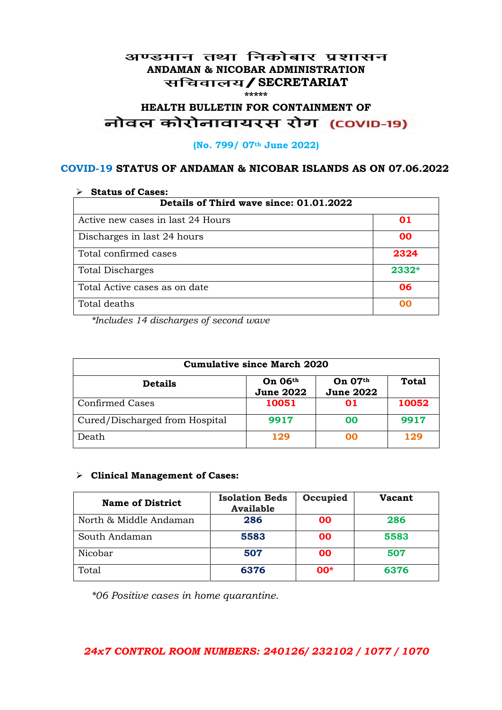#### अण्डमान तथा निकोबार प्रशासन **ANDAMAN & NICOBAR ADMINISTRATION /SECRETARIAT \*\*\*\*\***

# HEALTH BULLETIN FOR CONTAINMENT OF<br>बोवल कोरोनावायरस रोग (COVID-19)

#### **(No. 799/ 07th June 2022)**

#### **COVID-19 STATUS OF ANDAMAN & NICOBAR ISLANDS AS ON 07.06.2022**

| <b>Status of Cases:</b>                 |       |  |
|-----------------------------------------|-------|--|
| Details of Third wave since: 01.01.2022 |       |  |
| Active new cases in last 24 Hours       | 01    |  |
| Discharges in last 24 hours             | 00    |  |
| Total confirmed cases                   | 2324  |  |
| <b>Total Discharges</b>                 | 2332* |  |
| Total Active cases as on date           | 06    |  |
| Total deaths                            | OO    |  |

*\*Includes 14 discharges of second wave*

| <b>Cumulative since March 2020</b> |                             |                               |              |
|------------------------------------|-----------------------------|-------------------------------|--------------|
| <b>Details</b>                     | On 06th<br><b>June 2022</b> | On $07th$<br><b>June 2022</b> | <b>Total</b> |
| <b>Confirmed Cases</b>             | 10051                       | 01                            | 10052        |
| Cured/Discharged from Hospital     | 9917                        | 00                            | 9917         |
| Death                              | 129                         | ററ                            | 129          |

#### **Clinical Management of Cases:**

| <b>Name of District</b> | <b>Isolation Beds</b><br><b>Available</b> | Occupied  | Vacant |
|-------------------------|-------------------------------------------|-----------|--------|
| North & Middle Andaman  | 286                                       | <b>OO</b> | 286    |
| South Andaman           | 5583                                      | <b>OO</b> | 5583   |
| Nicobar                 | 507                                       | <b>OO</b> | 507    |
| Total                   | 6376                                      | $00*$     | 6376   |

*\*06 Positive cases in home quarantine.*

#### *24x7 CONTROL ROOM NUMBERS: 240126/ 232102 / 1077 / 1070*